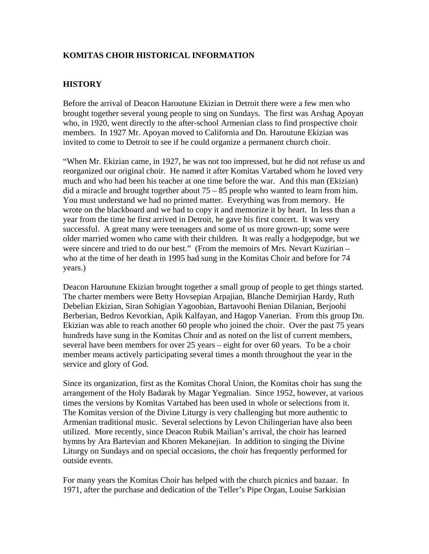## **KOMITAS CHOIR HISTORICAL INFORMATION**

## **HISTORY**

Before the arrival of Deacon Haroutune Ekizian in Detroit there were a few men who brought together several young people to sing on Sundays. The first was Arshag Apoyan who, in 1920, went directly to the after-school Armenian class to find prospective choir members. In 1927 Mr. Apoyan moved to California and Dn. Haroutune Ekizian was invited to come to Detroit to see if he could organize a permanent church choir.

"When Mr. Ekizian came, in 1927, he was not too impressed, but he did not refuse us and reorganized our original choir. He named it after Komitas Vartabed whom he loved very much and who had been his teacher at one time before the war. And this man (Ekizian) did a miracle and brought together about 75 – 85 people who wanted to learn from him. You must understand we had no printed matter. Everything was from memory. He wrote on the blackboard and we had to copy it and memorize it by heart. In less than a year from the time he first arrived in Detroit, he gave his first concert. It was very successful. A great many were teenagers and some of us more grown-up; some were older married women who came with their children. It was really a hodgepodge, but we were sincere and tried to do our best." (From the memoirs of Mrs. Nevart Kuzirian – who at the time of her death in 1995 had sung in the Komitas Choir and before for 74 years.)

Deacon Haroutune Ekizian brought together a small group of people to get things started. The charter members were Betty Hovsepian Arpajian, Blanche Demirjian Hardy, Ruth Debelian Ekizian, Siran Sohigian Yagoobian, Bartavoohi Benian Dilanian, Berjoohi Berberian, Bedros Kevorkian, Apik Kalfayan, and Hagop Vanerian. From this group Dn. Ekizian was able to reach another 60 people who joined the choir. Over the past 75 years hundreds have sung in the Komitas Choir and as noted on the list of current members, several have been members for over 25 years – eight for over 60 years. To be a choir member means actively participating several times a month throughout the year in the service and glory of God.

Since its organization, first as the Komitas Choral Union, the Komitas choir has sung the arrangement of the Holy Badarak by Magar Yegmalian. Since 1952, however, at various times the versions by Komitas Vartabed has been used in whole or selections from it. The Komitas version of the Divine Liturgy is very challenging but more authentic to Armenian traditional music. Several selections by Levon Chilingerian have also been utilized. More recently, since Deacon Rubik Mailian's arrival, the choir has learned hymns by Ara Bartevian and Khoren Mekanejian. In addition to singing the Divine Liturgy on Sundays and on special occasions, the choir has frequently performed for outside events.

For many years the Komitas Choir has helped with the church picnics and bazaar. In 1971, after the purchase and dedication of the Teller's Pipe Organ, Louise Sarkisian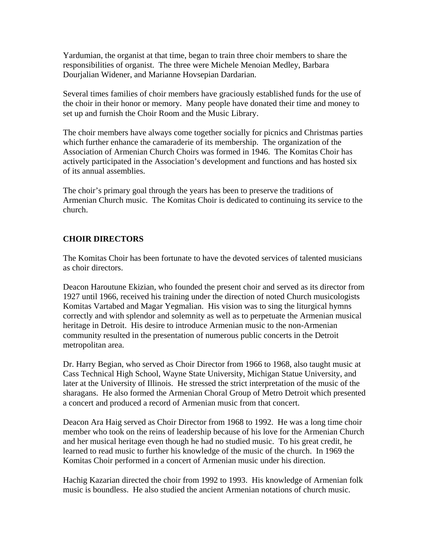Yardumian, the organist at that time, began to train three choir members to share the responsibilities of organist. The three were Michele Menoian Medley, Barbara Dourjalian Widener, and Marianne Hovsepian Dardarian.

Several times families of choir members have graciously established funds for the use of the choir in their honor or memory. Many people have donated their time and money to set up and furnish the Choir Room and the Music Library.

The choir members have always come together socially for picnics and Christmas parties which further enhance the camaraderie of its membership. The organization of the Association of Armenian Church Choirs was formed in 1946. The Komitas Choir has actively participated in the Association's development and functions and has hosted six of its annual assemblies.

The choir's primary goal through the years has been to preserve the traditions of Armenian Church music. The Komitas Choir is dedicated to continuing its service to the church.

## **CHOIR DIRECTORS**

The Komitas Choir has been fortunate to have the devoted services of talented musicians as choir directors.

Deacon Haroutune Ekizian, who founded the present choir and served as its director from 1927 until 1966, received his training under the direction of noted Church musicologists Komitas Vartabed and Magar Yegmalian. His vision was to sing the liturgical hymns correctly and with splendor and solemnity as well as to perpetuate the Armenian musical heritage in Detroit. His desire to introduce Armenian music to the non-Armenian community resulted in the presentation of numerous public concerts in the Detroit metropolitan area.

Dr. Harry Begian, who served as Choir Director from 1966 to 1968, also taught music at Cass Technical High School, Wayne State University, Michigan Statue University, and later at the University of Illinois. He stressed the strict interpretation of the music of the sharagans. He also formed the Armenian Choral Group of Metro Detroit which presented a concert and produced a record of Armenian music from that concert.

Deacon Ara Haig served as Choir Director from 1968 to 1992. He was a long time choir member who took on the reins of leadership because of his love for the Armenian Church and her musical heritage even though he had no studied music. To his great credit, he learned to read music to further his knowledge of the music of the church. In 1969 the Komitas Choir performed in a concert of Armenian music under his direction.

Hachig Kazarian directed the choir from 1992 to 1993. His knowledge of Armenian folk music is boundless. He also studied the ancient Armenian notations of church music.